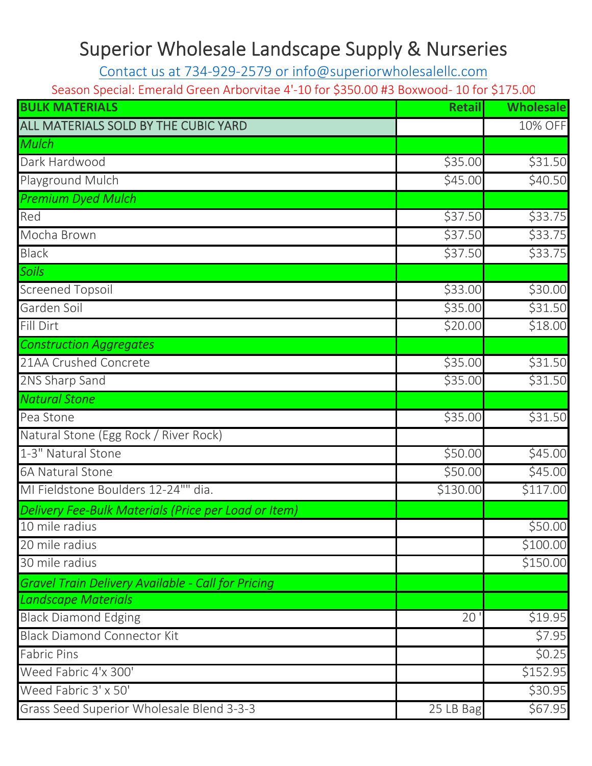## Superior Wholesale Landscape Supply & Nurseries

Contact us at 734‐929‐2579 or info@superiorwholesalellc.com

Season Special: Emerald Green Arborvitae 4'‐10 for \$350.00 #3 Boxwood‐ 10 for \$175.00

| <b>BULK MATERIALS</b>                                     | <b>Retail</b> | Wholesale |
|-----------------------------------------------------------|---------------|-----------|
| ALL MATERIALS SOLD BY THE CUBIC YARD                      |               | 10% OFF   |
| <b>Mulch</b>                                              |               |           |
| Dark Hardwood                                             | \$35.00       | \$31.50   |
| Playground Mulch                                          | \$45.00       | \$40.50   |
| <b>Premium Dyed Mulch</b>                                 |               |           |
| Red                                                       | \$37.50       | \$33.75   |
| Mocha Brown                                               | \$37.50       | \$33.75   |
| <b>Black</b>                                              | \$37.50       | \$33.75   |
| <b>Soils</b>                                              |               |           |
| <b>Screened Topsoil</b>                                   | \$33.00       | \$30.00   |
| Garden Soil                                               | \$35.00       | \$31.50   |
| Fill Dirt                                                 | \$20.00       | \$18.00   |
| <b>Construction Aggregates</b>                            |               |           |
| 21AA Crushed Concrete                                     | \$35.00       | \$31.50   |
| 2NS Sharp Sand                                            | \$35.00       | \$31.50   |
| <b>Natural Stone</b>                                      |               |           |
| Pea Stone                                                 | \$35.00       | \$31.50   |
| Natural Stone (Egg Rock / River Rock)                     |               |           |
| 1-3" Natural Stone                                        | \$50.00       | \$45.00   |
| 6A Natural Stone                                          | \$50.00       | \$45.00   |
| MI Fieldstone Boulders 12-24"" dia.                       | \$130.00      | \$117.00  |
| Delivery Fee-Bulk Materials (Price per Load or Item)      |               |           |
| 10 mile radius                                            |               | \$50.00   |
| 20 mile radius                                            |               | \$100.00  |
| 30 mile radius                                            |               | \$150.00  |
| <b>Gravel Train Delivery Available - Call for Pricing</b> |               |           |
| <b>Landscape Materials</b>                                |               |           |
| <b>Black Diamond Edging</b>                               | 20            | \$19.95   |
| <b>Black Diamond Connector Kit</b>                        |               | \$7.95    |
| <b>Fabric Pins</b>                                        |               | \$0.25    |
| Weed Fabric 4'x 300'                                      |               | \$152.95  |
| Weed Fabric 3' x 50'                                      |               | \$30.95   |
| Grass Seed Superior Wholesale Blend 3-3-3                 | 25 LB Bag     | \$67.95   |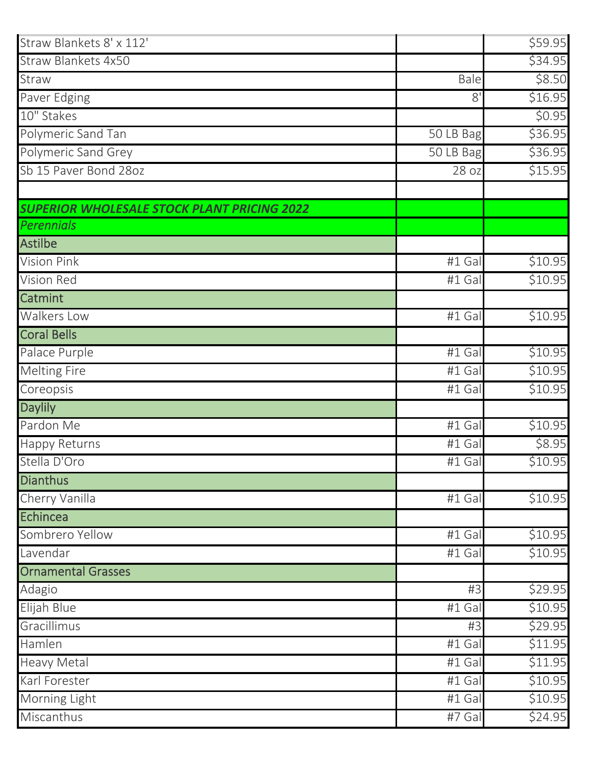| Straw Blankets 8' x 112'                           |           | \$59.95 |
|----------------------------------------------------|-----------|---------|
| Straw Blankets 4x50                                |           | \$34.95 |
| Straw                                              | Bale      | \$8.50  |
| Paver Edging                                       | 8'        | \$16.95 |
| 10" Stakes                                         |           | \$0.95  |
| Polymeric Sand Tan                                 | 50 LB Bag | \$36.95 |
| Polymeric Sand Grey                                | 50 LB Bag | \$36.95 |
| Sb 15 Paver Bond 28oz                              | 28 oz     | \$15.95 |
|                                                    |           |         |
| <b>SUPERIOR WHOLESALE STOCK PLANT PRICING 2022</b> |           |         |
| <b>Perennials</b>                                  |           |         |
| <b>Astilbe</b>                                     |           |         |
| <b>Vision Pink</b>                                 | #1 Gal    | \$10.95 |
| Vision Red                                         | #1 Gal    | \$10.95 |
| <b>Catmint</b>                                     |           |         |
| Walkers Low                                        | #1 Gal    | \$10.95 |
| <b>Coral Bells</b>                                 |           |         |
| Palace Purple                                      | #1 Gal    | \$10.95 |
| <b>Melting Fire</b>                                | #1 Gal    | \$10.95 |
| Coreopsis                                          | #1 Gal    | \$10.95 |
| <b>Daylily</b>                                     |           |         |
| Pardon Me                                          | #1 Gal    | \$10.95 |
| <b>Happy Returns</b>                               | #1 Gal    | \$8.95  |
| Stella D'Oro                                       | #1 Gal    | \$10.95 |
| <b>Dianthus</b>                                    |           |         |
| Cherry Vanilla                                     | #1 Gal    | \$10.95 |
| Echincea                                           |           |         |
| Sombrero Yellow                                    | #1 Gal    | \$10.95 |
| Lavendar                                           | #1 Gal    | \$10.95 |
| <b>Ornamental Grasses</b>                          |           |         |
| Adagio                                             | #3        | \$29.95 |
| Elijah Blue                                        | #1 Gal    | \$10.95 |
| Gracillimus                                        | #3        | \$29.95 |
| Hamlen                                             | #1 Gal    | \$11.95 |
| Heavy Metal                                        | #1 Gal    | \$11.95 |
| Karl Forester                                      | #1 Gal    | \$10.95 |
| Morning Light                                      | #1 Gal    | \$10.95 |
| Miscanthus                                         | #7 Gal    | \$24.95 |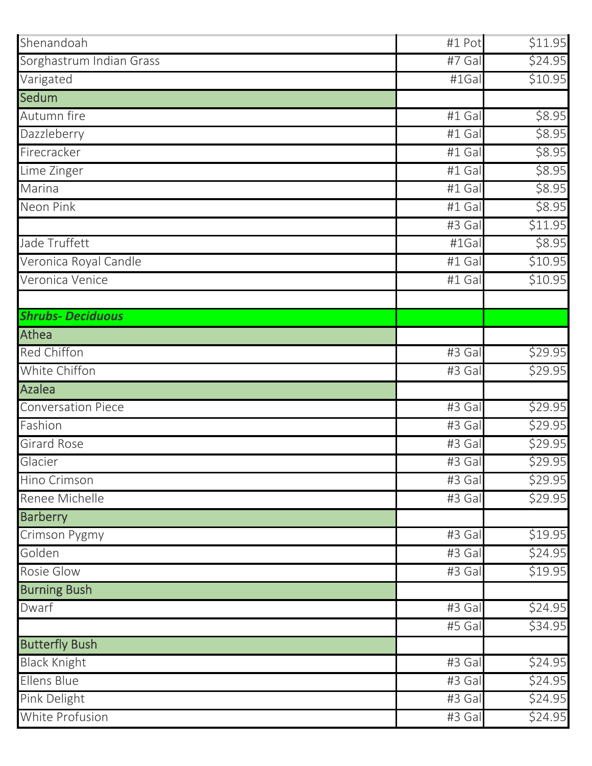| Shenandoah                | #1 Pot | \$11.95 |
|---------------------------|--------|---------|
| Sorghastrum Indian Grass  | #7 Gal | \$24.95 |
| Varigated                 | #1Gal  | \$10.95 |
| Sedum                     |        |         |
| Autumn fire               | #1 Gal | \$8.95  |
| Dazzleberry               | #1 Gal | \$8.95  |
| Firecracker               | #1 Gal | \$8.95  |
| Lime Zinger               | #1 Gal | \$8.95  |
| Marina                    | #1 Gal | \$8.95  |
| Neon Pink                 | #1 Gal | \$8.95  |
|                           | #3 Gal | \$11.95 |
| Jade Truffett             | #1Gal  | \$8.95  |
| Veronica Royal Candle     | #1 Gal | \$10.95 |
| Veronica Venice           | #1 Gal | \$10.95 |
|                           |        |         |
| <b>Shrubs- Deciduous</b>  |        |         |
| <b>Athea</b>              |        |         |
| Red Chiffon               | #3 Gal | \$29.95 |
| White Chiffon             | #3 Gal | \$29.95 |
| <b>Azalea</b>             |        |         |
| <b>Conversation Piece</b> | #3 Gal | \$29.95 |
| Fashion                   | #3 Gal | \$29.95 |
| <b>Girard Rose</b>        | #3 Gal | \$29.95 |
| Glacier                   | #3 Gal | \$29.95 |
| Hino Crimson              | #3 Gal | \$29.95 |
| Renee Michelle            | #3 Gal | \$29.95 |
| <b>Barberry</b>           |        |         |
| Crimson Pygmy             | #3 Gal | \$19.95 |
| Golden                    | #3 Gal | \$24.95 |
| Rosie Glow                | #3 Gal | \$19.95 |
| <b>Burning Bush</b>       |        |         |
| Dwarf                     | #3 Gal | \$24.95 |
|                           | #5 Gal | \$34.95 |
| <b>Butterfly Bush</b>     |        |         |
| <b>Black Knight</b>       | #3 Gal | \$24.95 |
| Ellens Blue               | #3 Gal | \$24.95 |
| Pink Delight              | #3 Gal | \$24.95 |
| White Profusion           | #3 Gal | \$24.95 |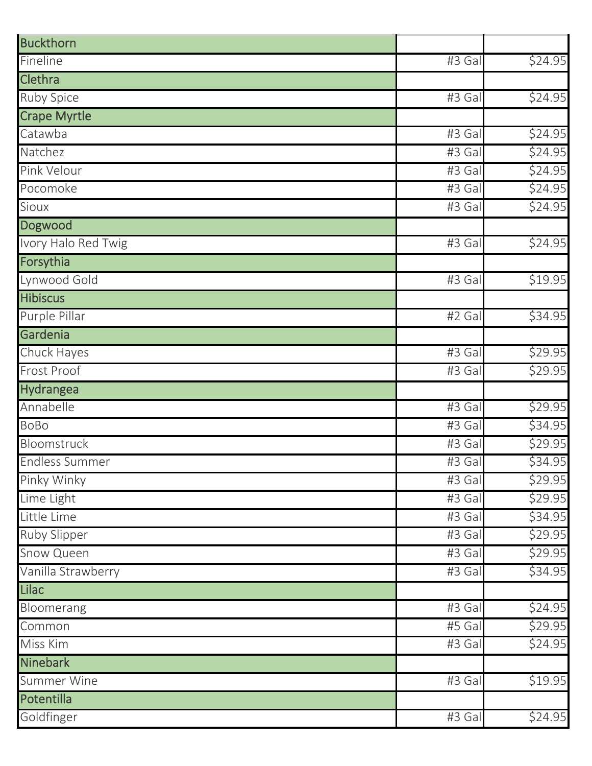| <b>Buckthorn</b>      |                      |         |
|-----------------------|----------------------|---------|
| Fineline              | #3 Gal               | \$24.95 |
| Clethra               |                      |         |
| <b>Ruby Spice</b>     | #3 Gal               | \$24.95 |
| <b>Crape Myrtle</b>   |                      |         |
| Catawba               | #3 Gal               | \$24.95 |
| Natchez               | #3 Gal               | \$24.95 |
| Pink Velour           | $#3$ Gal             | \$24.95 |
| Pocomoke              | #3 Gal               | \$24.95 |
| Sioux                 | #3 Gal               | \$24.95 |
| Dogwood               |                      |         |
| Ivory Halo Red Twig   | #3 Gal               | \$24.95 |
| Forsythia             |                      |         |
| Lynwood Gold          | #3 Gal               | \$19.95 |
| <b>Hibiscus</b>       |                      |         |
| Purple Pillar         | #2 Gal               | \$34.95 |
| Gardenia              |                      |         |
| Chuck Hayes           | #3 Gal               | \$29.95 |
| <b>Frost Proof</b>    | #3 Gal               | \$29.95 |
| Hydrangea             |                      |         |
| Annabelle             | $\overline{4}$ 3 Gal | \$29.95 |
| BoBo                  | #3 Gal               | \$34.95 |
| <b>Bloomstruck</b>    | #3 Gal               | \$29.95 |
| <b>Endless Summer</b> | #3 Gal               | \$34.95 |
| Pinky Winky           | #3 Gal               | \$29.95 |
| Lime Light            | #3 Gal               | \$29.95 |
| Little Lime           | #3 Gal               | \$34.95 |
| <b>Ruby Slipper</b>   | #3 Gal               | \$29.95 |
| Snow Queen            | #3 Gal               | \$29.95 |
| Vanilla Strawberry    | #3 Gal               | \$34.95 |
| <b>Lilac</b>          |                      |         |
| Bloomerang            | #3 Gal               | \$24.95 |
| Common                | #5 Gal               | \$29.95 |
| Miss Kim              | #3 Gal               | \$24.95 |
| Ninebark              |                      |         |
| <b>Summer Wine</b>    | #3 Gal               | \$19.95 |
| Potentilla            |                      |         |
| Goldfinger            | #3 Gal               | \$24.95 |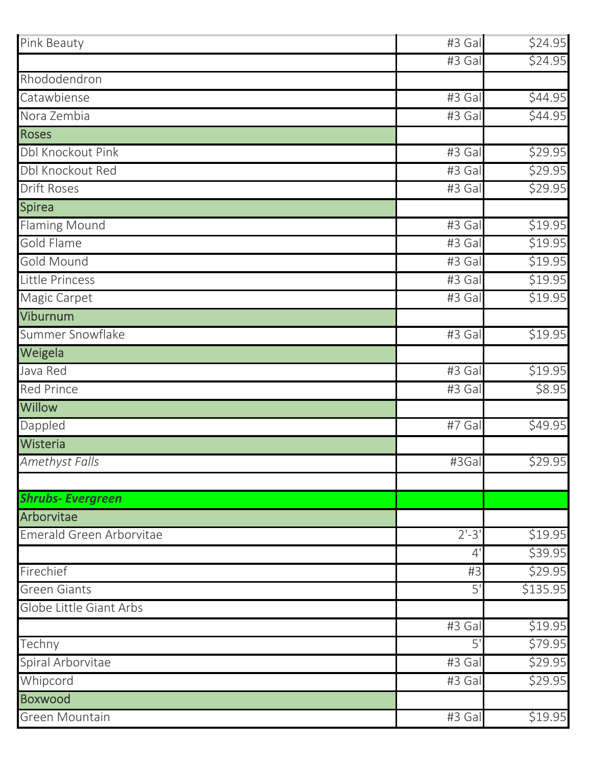| Pink Beauty              | #3 Gal               | \$24.95  |
|--------------------------|----------------------|----------|
|                          | #3 Gal               | \$24.95  |
| Rhododendron             |                      |          |
| Catawbiense              | #3 Gal               | \$44.95  |
| Nora Zembia              | $\overline{4}$ 3 Gal | \$44.95  |
| <b>Roses</b>             |                      |          |
| <b>Dbl Knockout Pink</b> | #3 Gal               | \$29.95  |
| Dbl Knockout Red         | #3 Gal               | \$29.95  |
| <b>Drift Roses</b>       | #3 Gal               | \$29.95  |
| Spirea                   |                      |          |
| <b>Flaming Mound</b>     | #3 Gal               | \$19.95  |
| Gold Flame               | #3 Gal               | \$19.95  |
| Gold Mound               | #3 Gal               | \$19.95  |
| Little Princess          | #3 Gal               | \$19.95  |
| Magic Carpet             | #3 Gal               | \$19.95  |
| Viburnum                 |                      |          |
| Summer Snowflake         | #3 Gal               | \$19.95  |
| Weigela                  |                      |          |
| Java Red                 | #3 Gal               | \$19.95  |
| <b>Red Prince</b>        | #3 Gal               | \$8.95   |
| <b>Willow</b>            |                      |          |
| Dappled                  | #7 Gal               | \$49.95  |
| Wisteria                 |                      |          |
| <b>Amethyst Falls</b>    | #3Gal                | \$29.95  |
|                          |                      |          |
| <b>Shrubs-Evergreen</b>  |                      |          |
| Arborvitae               |                      |          |
| Emerald Green Arborvitae | $2'-3'$              | \$19.95  |
|                          | 4'                   | \$39.95  |
| Firechief                | #3                   | \$29.95  |
| <b>Green Giants</b>      | 5'                   | \$135.95 |
| Globe Little Giant Arbs  |                      |          |
|                          | #3 Gal               | \$19.95  |
| Techny                   | 5'                   | \$79.95  |
| Spiral Arborvitae        | #3 Gal               | \$29.95  |
| Whipcord                 | #3 Gal               | \$29.95  |
| <b>Boxwood</b>           |                      |          |
| Green Mountain           | #3 Gal               | \$19.95  |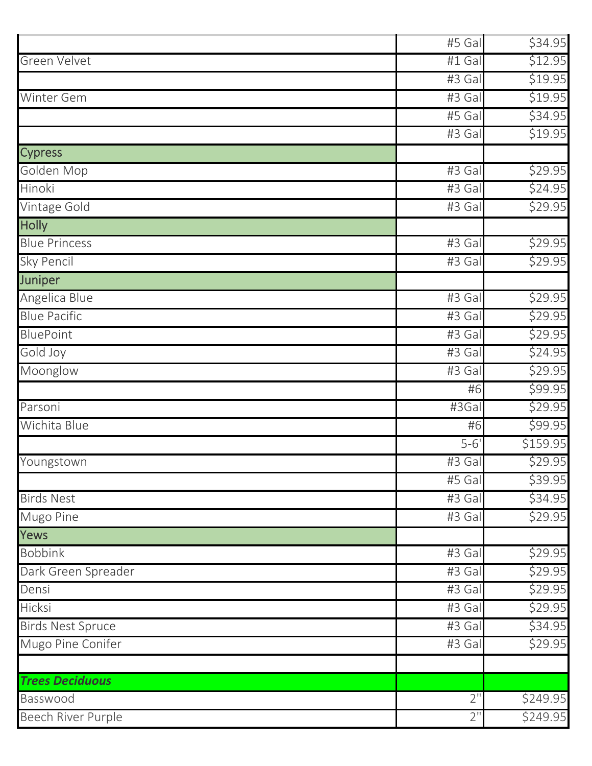|                           | #5 Gal               | \$34.95  |
|---------------------------|----------------------|----------|
| Green Velvet              | #1 Gal               | \$12.95  |
|                           | #3 Gal               | \$19.95  |
| Winter Gem                | #3 Gal               | \$19.95  |
|                           | #5 Gal               | \$34.95  |
|                           | #3 Gal               | \$19.95  |
| <b>Cypress</b>            |                      |          |
| Golden Mop                | #3 Gal               | \$29.95  |
| Hinoki                    | #3 Gal               | \$24.95  |
| Vintage Gold              | #3 Gal               | \$29.95  |
| <b>Holly</b>              |                      |          |
| <b>Blue Princess</b>      | #3 Gal               | \$29.95  |
| <b>Sky Pencil</b>         | #3 Gal               | \$29.95  |
| Juniper                   |                      |          |
| Angelica Blue             | #3 Gal               | \$29.95  |
| <b>Blue Pacific</b>       | #3 Gal               | \$29.95  |
| <b>BluePoint</b>          | #3 Gal               | \$29.95  |
| Gold Joy                  | #3 Gal               | \$24.95  |
| Moonglow                  | #3 Gal               | \$29.95  |
|                           | #6                   | \$99.95  |
| Parsoni                   | #3Gal                | \$29.95  |
| Wichita Blue              | #6                   | \$99.95  |
|                           | $5 - 6'$             | \$159.95 |
| Youngstown                | #3 Gal               | \$29.95  |
|                           | #5 Gal               | \$39.95  |
| <b>Birds Nest</b>         | #3 Gal               | \$34.95  |
| Mugo Pine                 | #3 Gal               | \$29.95  |
| Yews                      |                      |          |
| <b>Bobbink</b>            | $\overline{4}$ 3 Gal | \$29.95  |
| Dark Green Spreader       | #3 Gal               | \$29.95  |
| Densi                     | #3 Gal               | \$29.95  |
| <b>Hicksi</b>             | #3 Gal               | \$29.95  |
| <b>Birds Nest Spruce</b>  | #3 Gal               | \$34.95  |
| Mugo Pine Conifer         | #3 Gal               | \$29.95  |
|                           |                      |          |
| <b>Trees Deciduous</b>    |                      |          |
| Basswood                  | 2"                   | \$249.95 |
| <b>Beech River Purple</b> | $2^{\circ}$          | \$249.95 |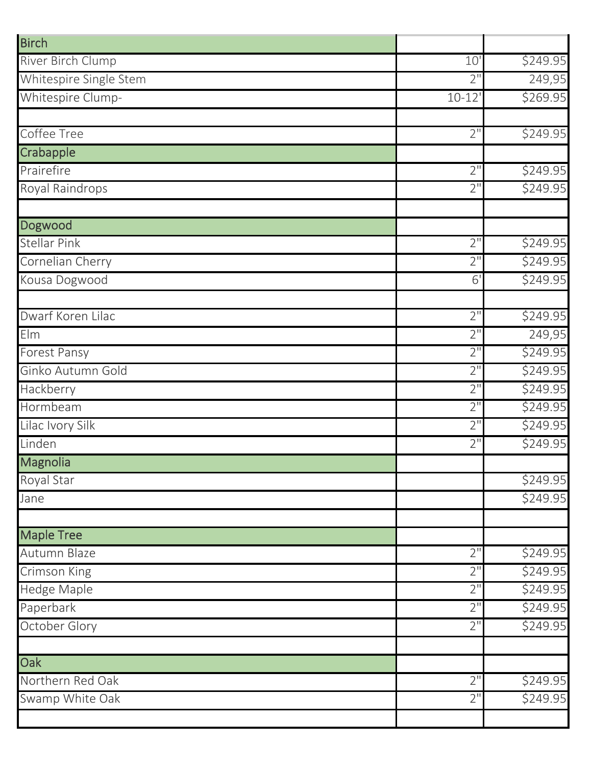| <b>Birch</b>           |                    |          |
|------------------------|--------------------|----------|
| River Birch Clump      | 10'                | \$249.95 |
| Whitespire Single Stem | 2"                 | 249,95   |
| Whitespire Clump-      | $10 - 12'$         | \$269.95 |
|                        |                    |          |
| Coffee Tree            | $2^{\prime\prime}$ | \$249.95 |
| Crabapple              |                    |          |
| Prairefire             | 2"                 | \$249.95 |
| Royal Raindrops        | 2"                 | \$249.95 |
|                        |                    |          |
| Dogwood                |                    |          |
| <b>Stellar Pink</b>    | 2"                 | \$249.95 |
| Cornelian Cherry       | $2^{\prime\prime}$ | \$249.95 |
| Kousa Dogwood          | 6'                 | \$249.95 |
| Dwarf Koren Lilac      | $2^{\prime\prime}$ | \$249.95 |
| Elm                    | 2"                 | 249,95   |
| Forest Pansy           | 2"                 | \$249.95 |
| Ginko Autumn Gold      | 2"                 | \$249.95 |
| Hackberry              | 2 <sup>11</sup>    | \$249.95 |
| Hormbeam               | $2^{\prime\prime}$ | \$249.95 |
| Lilac Ivory Silk       | $2^{\prime\prime}$ | \$249.95 |
| Linden                 | 2 <sup>11</sup>    | \$249.95 |
| Magnolia               |                    |          |
| Royal Star             |                    | \$249.95 |
| Jane                   |                    | \$249.95 |
|                        |                    |          |
| <b>Maple Tree</b>      |                    |          |
| Autumn Blaze           | $2^{\prime\prime}$ | \$249.95 |
| Crimson King           | 2"                 | \$249.95 |
| <b>Hedge Maple</b>     | 2"                 | \$249.95 |
| Paperbark              | 2"                 | \$249.95 |
| October Glory          | 2"                 | \$249.95 |
| Oak                    |                    |          |
| Northern Red Oak       | $2^{\prime\prime}$ | \$249.95 |
| Swamp White Oak        | 2"                 | \$249.95 |
|                        |                    |          |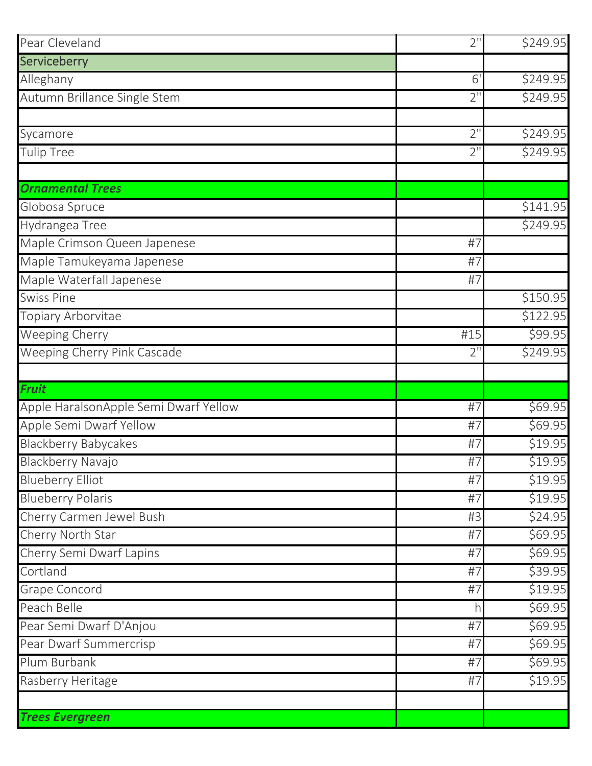| Pear Cleveland                                                                  | 2 <sup>11</sup> | \$249.95           |
|---------------------------------------------------------------------------------|-----------------|--------------------|
| Serviceberry                                                                    |                 |                    |
| Alleghany                                                                       | $6^{\prime}$    | \$249.95           |
| Autumn Brillance Single Stem                                                    | 2"              | \$249.95           |
|                                                                                 |                 |                    |
| Sycamore                                                                        | 2"              | \$249.95           |
| <b>Tulip Tree</b>                                                               | 2"              | \$249.95           |
|                                                                                 |                 |                    |
| <b>Ornamental Trees</b>                                                         |                 |                    |
| Globosa Spruce                                                                  |                 | \$141.95           |
| Hydrangea Tree                                                                  |                 | \$249.95           |
| Maple Crimson Queen Japenese                                                    | #7              |                    |
| Maple Tamukeyama Japenese                                                       | #7              |                    |
| Maple Waterfall Japenese                                                        | #7              |                    |
| <b>Swiss Pine</b>                                                               |                 | \$150.95           |
| Topiary Arborvitae                                                              |                 | \$122.95           |
| <b>Weeping Cherry</b>                                                           | #15             | \$99.95            |
| Weeping Cherry Pink Cascade                                                     | 2"              | \$249.95           |
|                                                                                 |                 |                    |
| <b>Fruit</b>                                                                    |                 |                    |
| Apple HaralsonApple Semi Dwarf Yellow                                           | #7              | \$69.95            |
|                                                                                 |                 |                    |
|                                                                                 | #7              | \$69.95            |
| Apple Semi Dwarf Yellow<br><b>Blackberry Babycakes</b>                          | #7              | \$19.95            |
| <b>Blackberry Navajo</b>                                                        | #7              | \$19.95            |
|                                                                                 | #7              | \$19.95            |
|                                                                                 | #7              |                    |
| <b>Blueberry Elliot</b><br><b>Blueberry Polaris</b><br>Cherry Carmen Jewel Bush | #3              | \$19.95<br>\$24.95 |
|                                                                                 | #7              |                    |
| Cherry North Star<br>Cherry Semi Dwarf Lapins                                   | #7              | \$69.95            |
|                                                                                 | #7              | \$39.95            |
| Cortland<br>Grape Concord                                                       | #7              | \$69.95<br>\$19.95 |
| Peach Belle                                                                     | h               | \$69.95            |
| Pear Semi Dwarf D'Anjou                                                         | #7              | \$69.95            |
| Pear Dwarf Summercrisp                                                          | #7              | \$69.95            |
|                                                                                 | #7              |                    |
| Plum Burbank<br>Rasberry Heritage                                               | #7              | \$69.95<br>\$19.95 |
|                                                                                 |                 |                    |